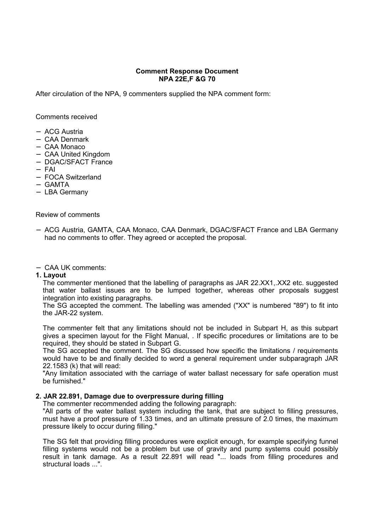# **Comment Response Document NPA 22E,F &G 70**

After circulation of the NPA, 9 commenters supplied the NPA comment form:

Comments received

- − ACG Austria
- − CAA Denmark
- − CAA Monaco
- − CAA United Kingdom
- − DGAC/SFACT France
- − FAI
- − FOCA Switzerland
- − GAMTA
- − LBA Germany

## Review of comments

- − ACG Austria, GAMTA, CAA Monaco, CAA Denmark, DGAC/SFACT France and LBA Germany had no comments to offer. They agreed or accepted the proposal.
- − CAA UK comments:
- **1. Layout**

The commenter mentioned that the labelling of paragraphs as JAR 22.XX1,.XX2 etc. suggested that water ballast issues are to be lumped together, whereas other proposals suggest integration into existing paragraphs.

The SG accepted the comment. The labelling was amended ("XX" is numbered "89") to fit into the JAR-22 system.

The commenter felt that any limitations should not be included in Subpart H, as this subpart gives a specimen layout for the Flight Manual, . If specific procedures or limitations are to be required, they should be stated in Subpart G.

The SG accepted the comment. The SG discussed how specific the limitations / requirements would have to be and finally decided to word a general requirement under subparagraph JAR 22.1583 (k) that will read:

"Any limitation associated with the carriage of water ballast necessary for safe operation must be furnished."

## **2. JAR 22.891, Damage due to overpressure during filling**

The commenter recommended adding the following paragraph:

"All parts of the water ballast system including the tank, that are subject to filling pressures, must have a proof pressure of 1.33 times, and an ultimate pressure of 2.0 times, the maximum pressure likely to occur during filling."

The SG felt that providing filling procedures were explicit enough, for example specifying funnel filling systems would not be a problem but use of gravity and pump systems could possibly result in tank damage. As a result 22.891 will read "... loads from filling procedures and structural loads ...".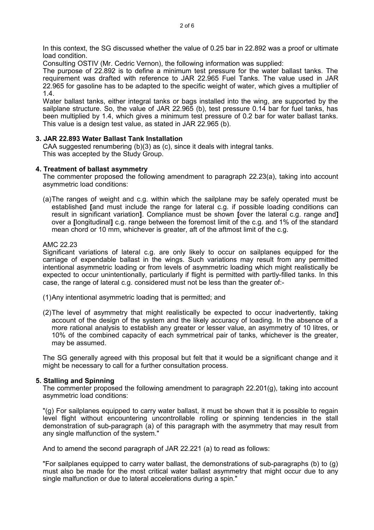In this context, the SG discussed whether the value of 0.25 bar in 22.892 was a proof or ultimate load condition.

Consulting OSTIV (Mr. Cedric Vernon), the following information was supplied:

The purpose of 22.892 is to define a minimum test pressure for the water ballast tanks. The requirement was drafted with reference to JAR 22.965 Fuel Tanks. The value used in JAR 22.965 for gasoline has to be adapted to the specific weight of water, which gives a multiplier of 1.4.

Water ballast tanks, either integral tanks or bags installed into the wing, are supported by the sailplane structure. So, the value of JAR 22.965 (b), test pressure 0.14 bar for fuel tanks, has been multiplied by 1.4, which gives a minimum test pressure of 0.2 bar for water ballast tanks. This value is a design test value, as stated in JAR 22.965 (b).

## **3. JAR 22.893 Water Ballast Tank Installation**

CAA suggested renumbering  $(b)(3)$  as  $(c)$ , since it deals with integral tanks. This was accepted by the Study Group.

## **4. Treatment of ballast asymmetry**

The commenter proposed the following amendment to paragraph 22.23(a), taking into account asymmetric load conditions:

(a)The ranges of weight and c.g. within which the sailplane may be safely operated must be established **[**and must include the range for lateral c.g. if possible loading conditions can result in significant variation**]**. Compliance must be shown **[**over the lateral c.g. range and**]** over a **[**longitudinal**]** c.g. range between the foremost limit of the c.g. and 1% of the standard mean chord or 10 mm, whichever is greater, aft of the aftmost limit of the c.g.

#### AMC 22.23

Significant variations of lateral c.g. are only likely to occur on sailplanes equipped for the carriage of expendable ballast in the wings. Such variations may result from any permitted intentional asymmetric loading or from levels of asymmetric loading which might realistically be expected to occur unintentionally, particularly if flight is permitted with partly-filled tanks. In this case, the range of lateral c.g. considered must not be less than the greater of:-

- (1)Any intentional asymmetric loading that is permitted; and
- (2)The level of asymmetry that might realistically be expected to occur inadvertently, taking account of the design of the system and the likely accuracy of loading. In the absence of a more rational analysis to establish any greater or lesser value, an asymmetry of 10 litres, or 10% of the combined capacity of each symmetrical pair of tanks, whichever is the greater, may be assumed.

The SG generally agreed with this proposal but felt that it would be a significant change and it might be necessary to call for a further consultation process.

## **5. Stalling and Spinning**

The commenter proposed the following amendment to paragraph 22.201(g), taking into account asymmetric load conditions:

"(g) For sailplanes equipped to carry water ballast, it must be shown that it is possible to regain level flight without encountering uncontrollable rolling or spinning tendencies in the stall demonstration of sub-paragraph (a) of this paragraph with the asymmetry that may result from any single malfunction of the system."

And to amend the second paragraph of JAR 22.221 (a) to read as follows:

"For sailplanes equipped to carry water ballast, the demonstrations of sub-paragraphs (b) to (g) must also be made for the most critical water ballast asymmetry that might occur due to any single malfunction or due to lateral accelerations during a spin."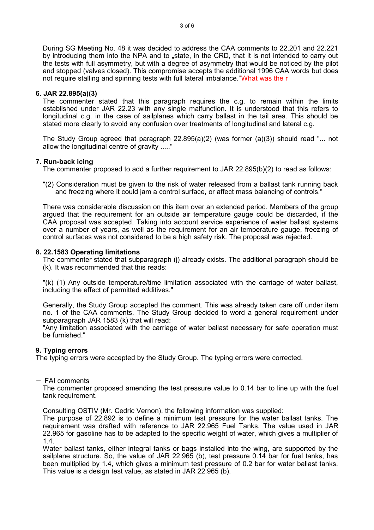During SG Meeting No. 48 it was decided to address the CAA comments to 22.201 and 22.221 by introducing them into the NPA and to "state, in the CRD, that it is not intended to carry out the tests with full asymmetry, but with a degree of asymmetry that would be noticed by the pilot and stopped (valves closed). This compromise accepts the additional 1996 CAA words but does not require stalling and spinning tests with full lateral imbalance."What was the r

## **6. JAR 22.895(a)(3)**

The commenter stated that this paragraph requires the c.g. to remain within the limits established under JAR 22.23 with any single malfunction. It is understood that this refers to longitudinal c.g. in the case of sailplanes which carry ballast in the tail area. This should be stated more clearly to avoid any confusion over treatments of longitudinal and lateral c.g.

The Study Group agreed that paragraph  $22.895(a)(2)$  (was former  $(a)(3)$ ) should read "... not allow the longitudinal centre of gravity ....."

# **7. Run-back icing**

The commenter proposed to add a further requirement to JAR 22.895(b)(2) to read as follows:

"(2) Consideration must be given to the risk of water released from a ballast tank running back and freezing where it could jam a control surface, or affect mass balancing of controls."

There was considerable discussion on this item over an extended period. Members of the group argued that the requirement for an outside air temperature gauge could be discarded, if the CAA proposal was accepted. Taking into account service experience of water ballast systems over a number of years, as well as the requirement for an air temperature gauge, freezing of control surfaces was not considered to be a high safety risk. The proposal was rejected.

# **8. 22.1583 Operating limitations**

The commenter stated that subparagraph (j) already exists. The additional paragraph should be (k). It was recommended that this reads:

"(k) (1) Any outside temperature/time limitation associated with the carriage of water ballast, including the effect of permitted additives."

Generally, the Study Group accepted the comment. This was already taken care off under item no. 1 of the CAA comments. The Study Group decided to word a general requirement under subparagraph JAR 1583 (k) that will read:

"Any limitation associated with the carriage of water ballast necessary for safe operation must be furnished."

# **9. Typing errors**

The typing errors were accepted by the Study Group. The typing errors were corrected.

## − FAI comments

The commenter proposed amending the test pressure value to 0.14 bar to line up with the fuel tank requirement.

Consulting OSTIV (Mr. Cedric Vernon), the following information was supplied:

The purpose of 22.892 is to define a minimum test pressure for the water ballast tanks. The requirement was drafted with reference to JAR 22.965 Fuel Tanks. The value used in JAR 22.965 for gasoline has to be adapted to the specific weight of water, which gives a multiplier of 1.4.

Water ballast tanks, either integral tanks or bags installed into the wing, are supported by the sailplane structure. So, the value of JAR 22.965 (b), test pressure 0.14 bar for fuel tanks, has been multiplied by 1.4, which gives a minimum test pressure of 0.2 bar for water ballast tanks. This value is a design test value, as stated in JAR 22.965 (b).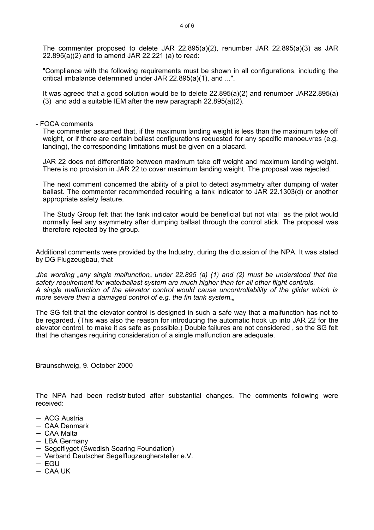The commenter proposed to delete JAR 22.895(a)(2), renumber JAR 22.895(a)(3) as JAR 22.895(a)(2) and to amend JAR 22.221 (a) to read:

"Compliance with the following requirements must be shown in all configurations, including the critical imbalance determined under JAR 22.895(a)(1), and ...".

It was agreed that a good solution would be to delete 22.895(a)(2) and renumber JAR22.895(a) (3) and add a suitable IEM after the new paragraph  $22.895(a)(2)$ .

#### - FOCA comments

The commenter assumed that, if the maximum landing weight is less than the maximum take off weight, or if there are certain ballast configurations requested for any specific manoeuvres (e.g. landing), the corresponding limitations must be given on a placard.

JAR 22 does not differentiate between maximum take off weight and maximum landing weight. There is no provision in JAR 22 to cover maximum landing weight. The proposal was rejected.

The next comment concerned the ability of a pilot to detect asymmetry after dumping of water ballast. The commenter recommended requiring a tank indicator to JAR 22.1303(d) or another appropriate safety feature.

The Study Group felt that the tank indicator would be beneficial but not vital as the pilot would normally feel any asymmetry after dumping ballast through the control stick. The proposal was therefore rejected by the group.

Additional comments were provided by the Industry, during the dicussion of the NPA. It was stated by DG Flugzeugbau, that

*"the wording "any single malfunction" under 22.895 (a) (1) and (2) must be understood that the safety requirement for waterballast system are much higher than for all other flight controls. A single malfunction of the elevator control would cause uncontrollability of the glider which is more severe than a damaged control of e.g. the fin tank system.*,

The SG felt that the elevator control is designed in such a safe way that a malfunction has not to be regarded. (This was also the reason for introducing the automatic hook up into JAR 22 for the elevator control, to make it as safe as possible.) Double failures are not considered , so the SG felt that the changes requiring consideration of a single malfunction are adequate.

Braunschweig, 9. October 2000

The NPA had been redistributed after substantial changes. The comments following were received:

- − ACG Austria
- − CAA Denmark
- − CAA Malta
- − LBA Germany
- − Segelflyget (Swedish Soaring Foundation)
- − Verband Deutscher Segelflugzeughersteller e.V.
- − EGU
- − CAA UK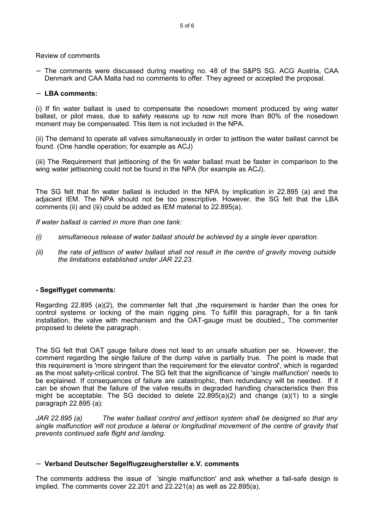Review of comments

− The comments were discussed during meeting no. 48 of the S&PS SG. ACG Austria, CAA Denmark and CAA Malta had no comments to offer. They agreed or accepted the proposal.

### − **LBA comments:**

(i) If fin water ballast is used to compensate the nosedown moment produced by wing water ballast, or pilot mass, due to safety reasons up to now not more than 80% of the nosedown moment may be compensated. This item is not included in the NPA.

(ii) The demand to operate all valves simultaneously in order to jettison the water ballast cannot be found. (One handle operation; for example as ACJ)

(iii) The Requirement that jettisoning of the fin water ballast must be faster in comparison to the wing water jettisoning could not be found in the NPA (for example as ACJ).

The SG felt that fin water ballast is included in the NPA by implication in 22.895 (a) and the adjacent IEM. The NPA should not be too prescriptive. However, the SG felt that the LBA comments (ii) and (iii) could be added as IEM material to 22.895(a).

*If water ballast is carried in more than one tank:*

- *(i) simultaneous release of water ballast should be achieved by a single lever operation.*
- *(ii) the rate of jettison of water ballast shall not result in the centre of gravity moving outside the limitations established under JAR 22.23.*

## **- Segelflyget comments:**

Regarding 22.895 (a)(2), the commenter felt that  $\mu$ the requirement is harder than the ones for control systems or locking of the main rigging pins. To fulfill this paragraph, for a fin tank installation, the valve with mechanism and the OAT-gauge must be doubled... The commenter proposed to delete the paragraph.

The SG felt that OAT gauge failure does not lead to an unsafe situation per se. However, the comment regarding the single failure of the dump valve is partially true. The point is made that this requirement is 'more stringent than the requirement for the elevator control', which is regarded as the most safety-critical control. The SG felt that the significance of 'single malfunction' needs to be explained. If consequences of failure are catastrophic, then redundancy will be needed. If it can be shown that the failure of the valve results in degraded handling characteristics then this might be acceptable. The SG decided to delete 22.895(a)(2) and change (a)(1) to a single paragraph 22.895 (a):

*JAR 22.895 (a) The water ballast control and jettison system shall be designed so that any single malfunction will not produce a lateral or longitudinal movement of the centre of gravity that prevents continued safe flight and landing.*

#### − **Verband Deutscher Segelflugzeughersteller e.V. comments**

The comments address the issue of 'single malfunction' and ask whether a fail-safe design is implied. The comments cover 22.201 and 22.221(a) as well as 22.895(a).